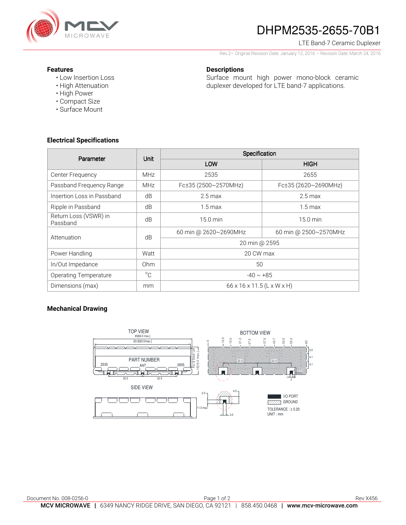

# DHPM2535-2655-70B1

LTE Band-7 Ceramic Duplexer

Rev 2– Original Revision Date: January 12, 2016 – Revision Date: March 24, 2016

Surface mount high power mono-block ceramic duplexer developed for LTE band-7 applications.

#### **Features**

- Low Insertion Loss
- High Attenuation
- High Power
- Compact Size
- Surface Mount

## **Electrical Specifications**

| Parameter                         | Unit         | Specification              |                       |
|-----------------------------------|--------------|----------------------------|-----------------------|
|                                   |              | LOW                        | <b>HIGH</b>           |
| Center Frequency                  | <b>MHz</b>   | 2535                       | 2655                  |
| Passband Frequency Range          | <b>MHz</b>   | Fc±35 (2500~2570MHz)       | Fc±35 (2620~2690MHz)  |
| Insertion Loss in Passband        | dB           | $2.5 \,\mathrm{max}$       | $2.5 \,\mathrm{max}$  |
| Ripple in Passband                | dB           | $1.5 \text{ max}$          | $1.5 \text{ max}$     |
| Return Loss (VSWR) in<br>Passband | dB           | $15.0 \text{ min}$         | 15.0 min              |
| Attenuation                       | dB           | 60 min @ 2620~2690MHz      | 60 min @ 2500~2570MHz |
|                                   |              | 20 min @ 2595              |                       |
| Power Handling                    | Watt         | 20 CW max                  |                       |
| In/Out Impedance                  | Ohm          | 50                         |                       |
| <b>Operating Temperature</b>      | $^{\circ}$ C | $-40 \sim +85$             |                       |
| Dimensions (max)                  | mm           | 66 x 16 x 11.5 (L x W x H) |                       |

**Descriptions** 

## **Mechanical Drawing**